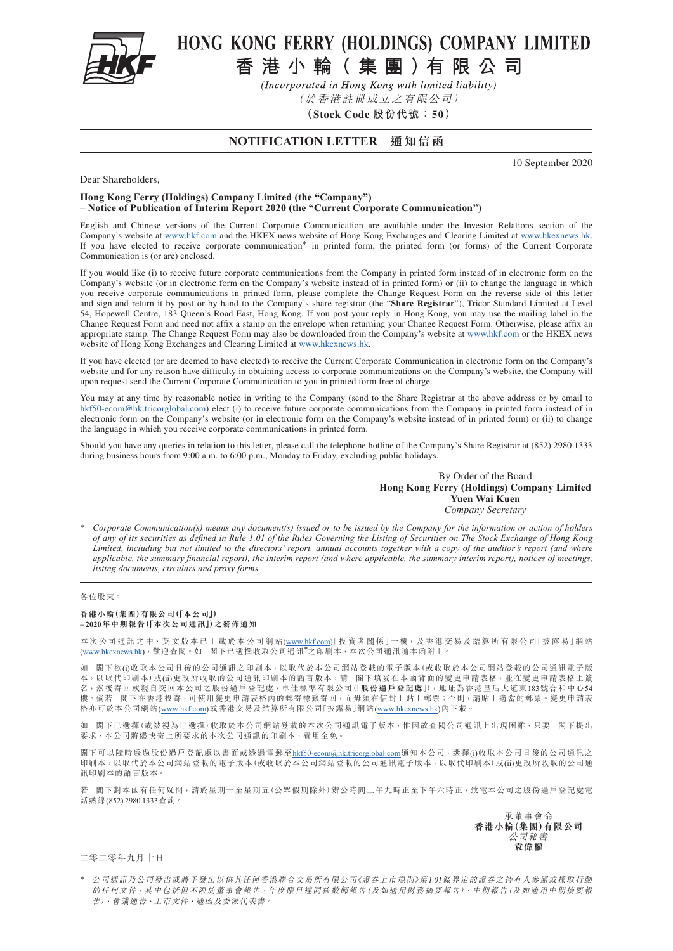

# HONG KONG FERRY (HOLDINGS) COMPANY LIMITED

香港小輪(集團)有限公司

(Incorporated in Hong Kong with limited liability)

(於香港註冊成立之有限公司)

**(Stock Code 股份代號:50)**

# **NOTIFICATION LETTER 通知信函**

10 September 2020

#### Dear Shareholders,

### **Hong Kong Ferry (Holdings) Company Limited (the "Company") – Notice of Publication of Interim Report 2020 (the "Current Corporate Communication")**

English and Chinese versions of the Current Corporate Communication are available under the Investor Relations section of the Company's website at [www.hkf.com](http://www.hkf.com/en/) and the HKEX news website of Hong Kong Exchanges and Clearing Limited at [www.hkexnews.hk](https://www.hkexnews.hk/index.htm). If you have elected to receive corporate communication\* in printed form, the printed form (or forms) of the Current Corporate Communication is (or are) enclosed.

If you would like (i) to receive future corporate communications from the Company in printed form instead of in electronic form on the Company's website (or in electronic form on the Company's website instead of in printed form) or (ii) to change the language in which you receive corporate communications in printed form, please complete the Change Request Form on the reverse side of this letter and sign and return it by post or by hand to the Company's share registrar (the "**Share Registrar**"), Tricor Standard Limited at Level 54, Hopewell Centre, 183 Queen's Road East, Hong Kong. If you post your reply in Hong Kong, you may use the mailing label in the Change Request Form and need not affix a stamp on the envelope when returning your Change Request Form. Otherwise, please affix an appropriate stamp. The Change Request Form may also be downloaded from the Company's website at [www.hkf.com](http://www.hkf.com/en/) or the HKEX news website of Hong Kong Exchanges and Clearing Limited at [www.hkexnews.hk](https://www.hkexnews.hk/index.htm).

If you have elected (or are deemed to have elected) to receive the Current Corporate Communication in electronic form on the Company's website and for any reason have difficulty in obtaining access to corporate communications on the Company's website, the Company will upon request send the Current Corporate Communication to you in printed form free of charge.

You may at any time by reasonable notice in writing to the Company (send to the Share Registrar at the above address or by email to [hkf50-ecom@hk.tricorglobal.com](mailto:hkf50-ecom%40hk.tricorglobal.com?subject=)) elect (i) to receive future corporate communications from the Company in printed form instead of in electronic form on the Company's website (or in electronic form on the Company's website instead of in printed form) or (ii) to change the language in which you receive corporate communications in printed form.

Should you have any queries in relation to this letter, please call the telephone hotline of the Company's Share Registrar at (852) 2980 1333 during business hours from 9:00 a.m. to 6:00 p.m., Monday to Friday, excluding public holidays.

#### By Order of the Board **Hong Kong Ferry (Holdings) Company Limited Yuen Wai Kuen** *Company Secretary*

\* *Corporate Communication(s) means any document(s) issued or to be issued by the Company for the information or action of holders of any of its securities as defined in Rule 1.01 of the Rules Governing the Listing of Securities on The Stock Exchange of Hong Kong Limited, including but not limited to the directors' report, annual accounts together with a copy of the auditor's report (and where applicable, the summary financial report), the interim report (and where applicable, the summary interim report), notices of meetings, listing documents, circulars and proxy forms.*

#### 各位股東:

#### **香港小輪(集團)有限公司(「本公司」) – 2020年中期報告(「本次公司通訊」)之發佈通知**

本 次 公 司 通 訊 之 中、英 文 版 本 已 上 載 於 本 公 司 網 站 [\(www.hkf.com](http://www.hkf.com/tc/))「投 資 者 關 係 」一 欄, 及 香 港 交 易 及 結 算 所 有 限 公 司「披 露 易」網 站 [\(www.hkexnews.hk\)](https://www.hkexnews.hk/index_c.htm), 歡 迎 查 閲 。如 閣 下已 選 擇 收 取 公 司通 訊 \*2 印 刷 本 ,本 次 公 司 通 訊 隨 本 函 附 上 。

如 閣下欲(i)收取本公司日後的公司通訊之印刷本,以取代於本公司網站登載的電子版本(或收取於本公司網站登載的公司通訊電子版 本,以取代印刷本)或(ii)更改所收取的公司通訊印刷本的語言版本,請 閣下填妥在本函背面的變更申請表格,並在變更申請表格上簽 名,然後寄回或親自交回本公司之股份過戶登記處,卓佳標準有限公司(「**股份過戶登記處**」),地址為香港皇后大道東183號合和中心54 樓。倘若 閣下在香港投寄,可使用變更申請表格內的郵寄標籤寄回,而毋須在信封上貼上郵票;否則,請貼上適當的郵票。變更申請表 格亦可於本公司網站[\(www.hkf.com\)](http://www.hkf.com/tc/)或香港交易及結算所有限公司「披露易」網站([www.hkexnews.hk\)](https://www.hkexnews.hk/index_c.htm)內下載。

如 閣下已選擇(或被視為已選擇)收取於本公司網站登載的本次公司通訊電子版本,惟因故查閲公司通訊上出現困難,只要 閣下提出 要求,本公司將儘快寄上所要求的本次公司通訊的印刷本,費用全免。

閣下可以隨時透過股份過戶登記處以書面或透過電郵至[hkf50-ecom@hk.tricorglobal.com](mailto:hkf50-ecom%40hk.tricorglobal.com?subject=) 通知本公司,選擇(i)收取本公司日後的公司通訊之 印刷本,以取代於本公司網站登載的電子版本(或收取於本公司網站登載的公司通訊電子版本,以取代印刷本)或(ii)更改所收取的公司通 訊印刷本的語言版本。

若 閣下對本函有任何疑問,請於星期一至星期五(公眾假期除外)辦公時間上午九時正至下午六時正,致電本公司之股份過戶登記處電 話熱線(852) 2980 1333查詢。

> 承董事會命 **香港小輪(集團)有限公司** 公司秘書 **袁偉權**

二零二零年九月十日

\* 公司通訊乃公司發出或將予發出以供其任何香港聯合交易所有限公司《證券上市規則》第1.01條界定的證券之持有人參照或採取行動 的任何文件,其中包括但不限於董事會報告、年度賬目連同核數師報告(及如適用財務摘要報告)、中期報告(及如適用中期摘要報 告)、會議通告、上市文件、通函及委派代表書。